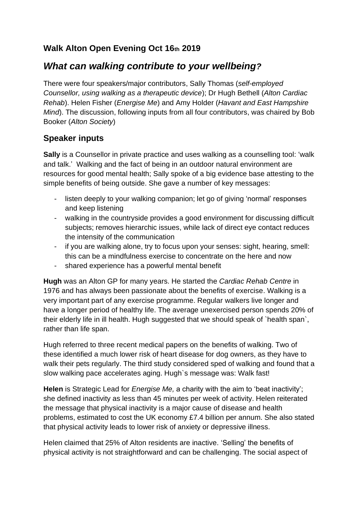# **Walk Alton Open Evening Oct 16th 2019**

# *What can walking contribute to your wellbeing?*

There were four speakers/major contributors, Sally Thomas (*self-employed Counsellor, using walking as a therapeutic device*); Dr Hugh Bethell (*Alton Cardiac Rehab*). Helen Fisher (*Energise Me*) and Amy Holder (*Havant and East Hampshire Mind*). The discussion, following inputs from all four contributors, was chaired by Bob Booker (*Alton Society*)

# **Speaker inputs**

**Sally** is a Counsellor in private practice and uses walking as a counselling tool: 'walk and talk.' Walking and the fact of being in an outdoor natural environment are resources for good mental health; Sally spoke of a big evidence base attesting to the simple benefits of being outside. She gave a number of key messages:

- listen deeply to your walking companion; let go of giving 'normal' responses and keep listening
- walking in the countryside provides a good environment for discussing difficult subjects; removes hierarchic issues, while lack of direct eye contact reduces the intensity of the communication
- if you are walking alone, try to focus upon your senses: sight, hearing, smell: this can be a mindfulness exercise to concentrate on the here and now
- shared experience has a powerful mental benefit

**Hugh** was an Alton GP for many years. He started the *Cardiac Rehab Centre* in 1976 and has always been passionate about the benefits of exercise. Walking is a very important part of any exercise programme. Regular walkers live longer and have a longer period of healthy life. The average unexercised person spends 20% of their elderly life in ill health. Hugh suggested that we should speak of `health span`, rather than life span.

Hugh referred to three recent medical papers on the benefits of walking. Two of these identified a much lower risk of heart disease for dog owners, as they have to walk their pets regularly. The third study considered sped of walking and found that a slow walking pace accelerates aging. Hugh`s message was: Walk fast!

**Helen** is Strategic Lead for *Energise Me,* a charity with the aim to 'beat inactivity'; she defined inactivity as less than 45 minutes per week of activity. Helen reiterated the message that physical inactivity is a major cause of disease and health problems, estimated to cost the UK economy £7.4 billion per annum. She also stated that physical activity leads to lower risk of anxiety or depressive illness.

Helen claimed that 25% of Alton residents are inactive. 'Selling' the benefits of physical activity is not straightforward and can be challenging. The social aspect of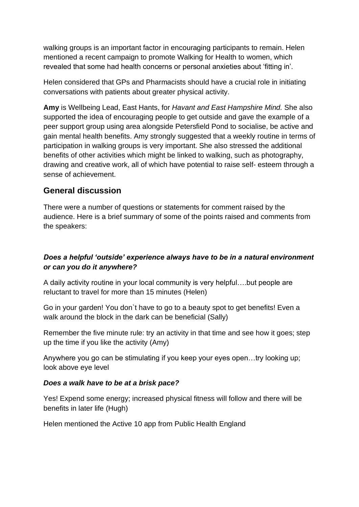walking groups is an important factor in encouraging participants to remain. Helen mentioned a recent campaign to promote Walking for Health to women, which revealed that some had health concerns or personal anxieties about 'fitting in'.

Helen considered that GPs and Pharmacists should have a crucial role in initiating conversations with patients about greater physical activity.

**Amy** is Wellbeing Lead, East Hants, for *Havant and East Hampshire Mind.* She also supported the idea of encouraging people to get outside and gave the example of a peer support group using area alongside Petersfield Pond to socialise, be active and gain mental health benefits. Amy strongly suggested that a weekly routine in terms of participation in walking groups is very important. She also stressed the additional benefits of other activities which might be linked to walking, such as photography, drawing and creative work, all of which have potential to raise self- esteem through a sense of achievement.

# **General discussion**

There were a number of questions or statements for comment raised by the audience. Here is a brief summary of some of the points raised and comments from the speakers:

## *Does a helpful 'outside' experience always have to be in a natural environment or can you do it anywhere?*

A daily activity routine in your local community is very helpful….but people are reluctant to travel for more than 15 minutes (Helen)

Go in your garden! You don`t have to go to a beauty spot to get benefits! Even a walk around the block in the dark can be beneficial (Sally)

Remember the five minute rule: try an activity in that time and see how it goes; step up the time if you like the activity (Amy)

Anywhere you go can be stimulating if you keep your eyes open…try looking up; look above eye level

#### *Does a walk have to be at a brisk pace?*

Yes! Expend some energy; increased physical fitness will follow and there will be benefits in later life (Hugh)

Helen mentioned the Active 10 app from Public Health England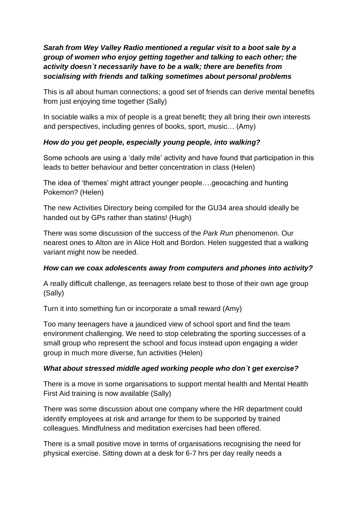### *Sarah from Wey Valley Radio mentioned a regular visit to a boot sale by a group of women who enjoy getting together and talking to each other; the activity doesn`t necessarily have to be a walk; there are benefits from socialising with friends and talking sometimes about personal problems*

This is all about human connections; a good set of friends can derive mental benefits from just enjoying time together (Sally)

In sociable walks a mix of people is a great benefit; they all bring their own interests and perspectives, including genres of books, sport, music… (Amy)

### *How do you get people, especially young people, into walking?*

Some schools are using a 'daily mile' activity and have found that participation in this leads to better behaviour and better concentration in class (Helen)

The idea of 'themes' might attract younger people….geocaching and hunting Pokemon? (Helen)

The new Activities Directory being compiled for the GU34 area should ideally be handed out by GPs rather than statins! (Hugh)

There was some discussion of the success of the *Park Run* phenomenon. Our nearest ones to Alton are in Alice Holt and Bordon. Helen suggested that a walking variant might now be needed.

## *How can we coax adolescents away from computers and phones into activity?*

A really difficult challenge, as teenagers relate best to those of their own age group (Sally)

Turn it into something fun or incorporate a small reward (Amy)

Too many teenagers have a jaundiced view of school sport and find the team environment challenging. We need to stop celebrating the sporting successes of a small group who represent the school and focus instead upon engaging a wider group in much more diverse, fun activities (Helen)

## *What about stressed middle aged working people who don`t get exercise?*

There is a move in some organisations to support mental health and Mental Health First Aid training is now available (Sally)

There was some discussion about one company where the HR department could identify employees at risk and arrange for them to be supported by trained colleagues. Mindfulness and meditation exercises had been offered.

There is a small positive move in terms of organisations recognising the need for physical exercise. Sitting down at a desk for 6-7 hrs per day really needs a